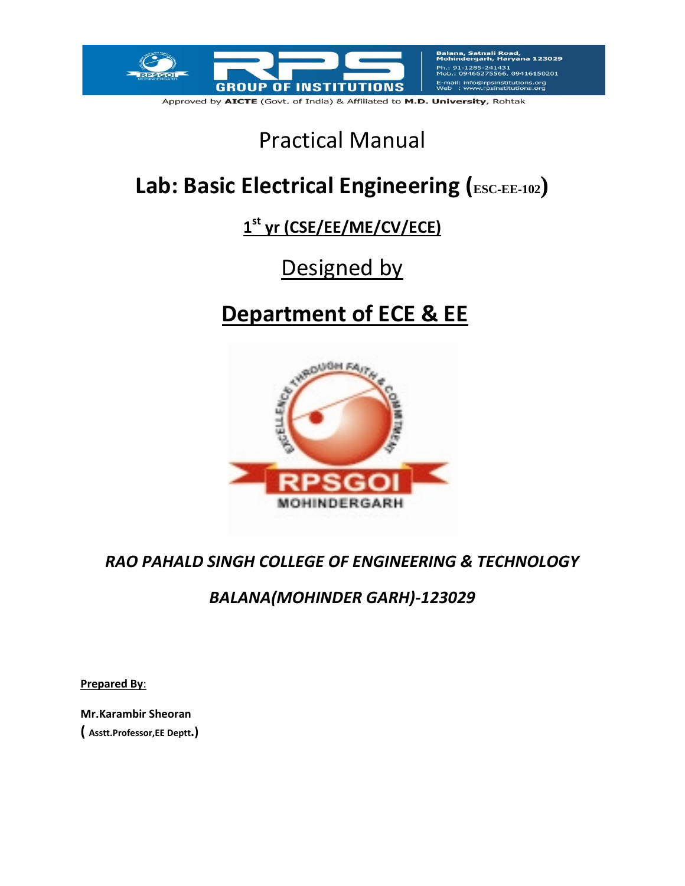

Approved by AICTE (Govt. of India) & Affiliated to M.D. University, Rohtak

# Practical Manual

# Lab: Basic Electrical Engineering (ESC-EE-102)

# **1 st yr (CSE/EE/ME/CV/ECE)**

# Designed by

# **Department of ECE & EE**



## *RAO PAHALD SINGH COLLEGE OF ENGINEERING & TECHNOLOGY*

## *BALANA(MOHINDER GARH)-123029*

**Prepared By**:

**Mr.Karambir Sheoran ( Asstt.Professor,EE Deptt.)**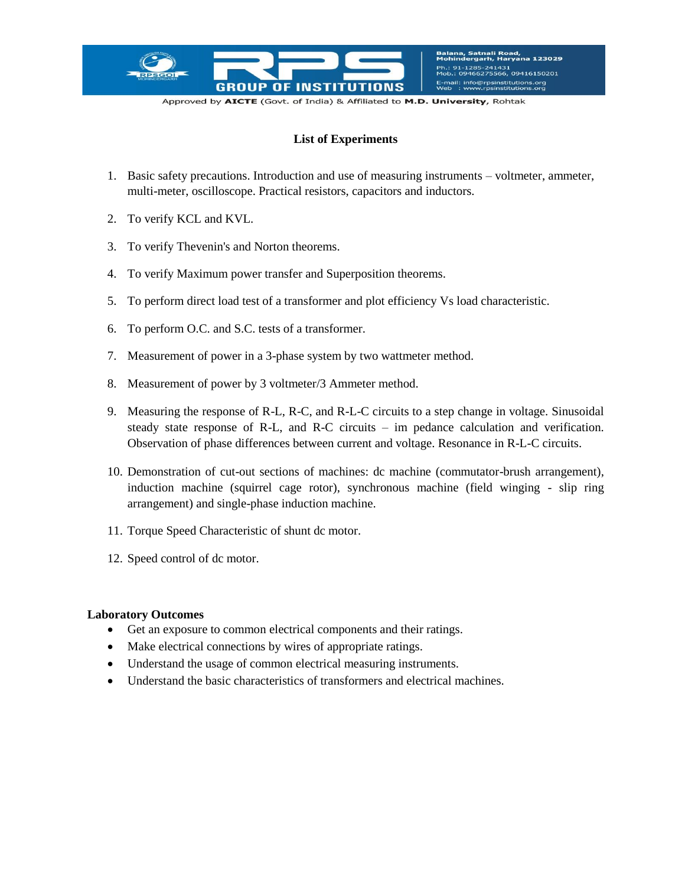

Approved by AICTE (Govt. of India) & Affiliated to M.D. University, Rohtak

#### **List of Experiments**

- 1. Basic safety precautions. Introduction and use of measuring instruments voltmeter, ammeter, multi-meter, oscilloscope. Practical resistors, capacitors and inductors.
- 2. To verify KCL and KVL.
- 3. To verify Thevenin's and Norton theorems.
- 4. To verify Maximum power transfer and Superposition theorems.
- 5. To perform direct load test of a transformer and plot efficiency Vs load characteristic.
- 6. To perform O.C. and S.C. tests of a transformer.
- 7. Measurement of power in a 3-phase system by two wattmeter method.
- 8. Measurement of power by 3 voltmeter/3 Ammeter method.
- 9. Measuring the response of R-L, R-C, and R-L-C circuits to a step change in voltage. Sinusoidal steady state response of R-L, and R-C circuits – im pedance calculation and verification. Observation of phase differences between current and voltage. Resonance in R-L-C circuits.
- 10. Demonstration of cut-out sections of machines: dc machine (commutator-brush arrangement), induction machine (squirrel cage rotor), synchronous machine (field winging - slip ring arrangement) and single-phase induction machine.
- 11. Torque Speed Characteristic of shunt dc motor.
- 12. Speed control of dc motor.

#### **Laboratory Outcomes**

- Get an exposure to common electrical components and their ratings.
- Make electrical connections by wires of appropriate ratings.
- Understand the usage of common electrical measuring instruments.
- Understand the basic characteristics of transformers and electrical machines.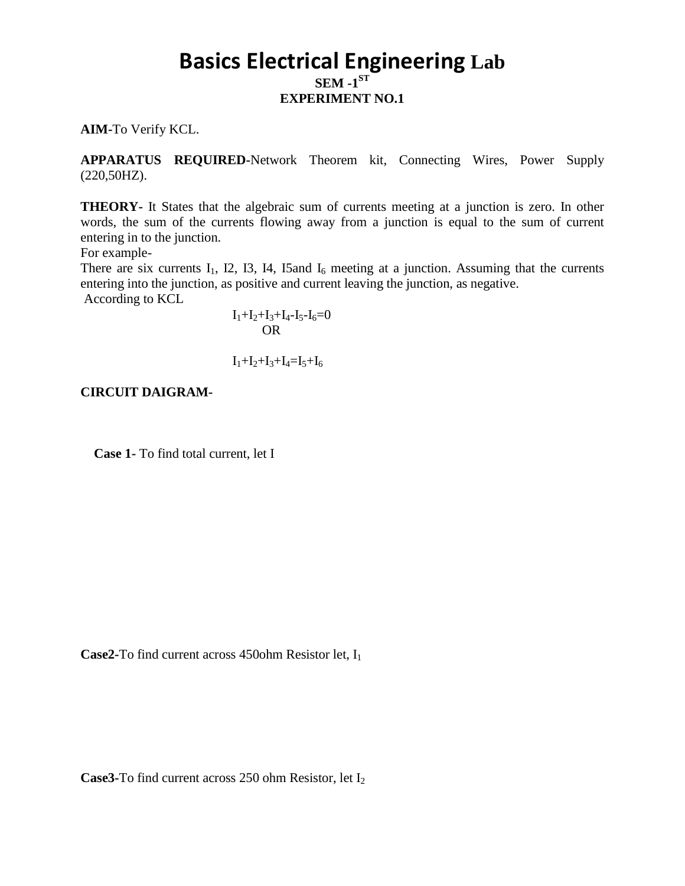## **Basics Electrical Engineering Lab**  $SEM - 1^{ST}$ **EXPERIMENT NO.1**

**AIM-**To Verify KCL.

**APPARATUS REQUIRED-**Network Theorem kit, Connecting Wires, Power Supply (220,50HZ).

**THEORY-** It States that the algebraic sum of currents meeting at a junction is zero. In other words, the sum of the currents flowing away from a junction is equal to the sum of current entering in to the junction.

For example-

There are six currents  $I_1$ , I2, I3, I4, I5and  $I_6$  meeting at a junction. Assuming that the currents entering into the junction, as positive and current leaving the junction, as negative. According to KCL

 $I_1+I_2+I_3+I_4-I_5-I_6=0$ **OR** OF THE STATE OF THE STATE OF THE STATE OF THE STATE OF THE STATE OF THE STATE OF THE STATE OF THE STATE OF THE STATE OF THE STATE OF THE STATE OF THE STATE OF THE STATE OF THE STATE OF THE STATE OF THE STATE OF THE ST

 $I_1+I_2+I_3+I_4=I_5+I_6$ 

**CIRCUIT DAIGRAM-**

 **Case 1-** To find total current, let I

Case2-To find current across 450ohm Resistor let, I<sub>1</sub>

Case3-To find current across 250 ohm Resistor, let I<sub>2</sub>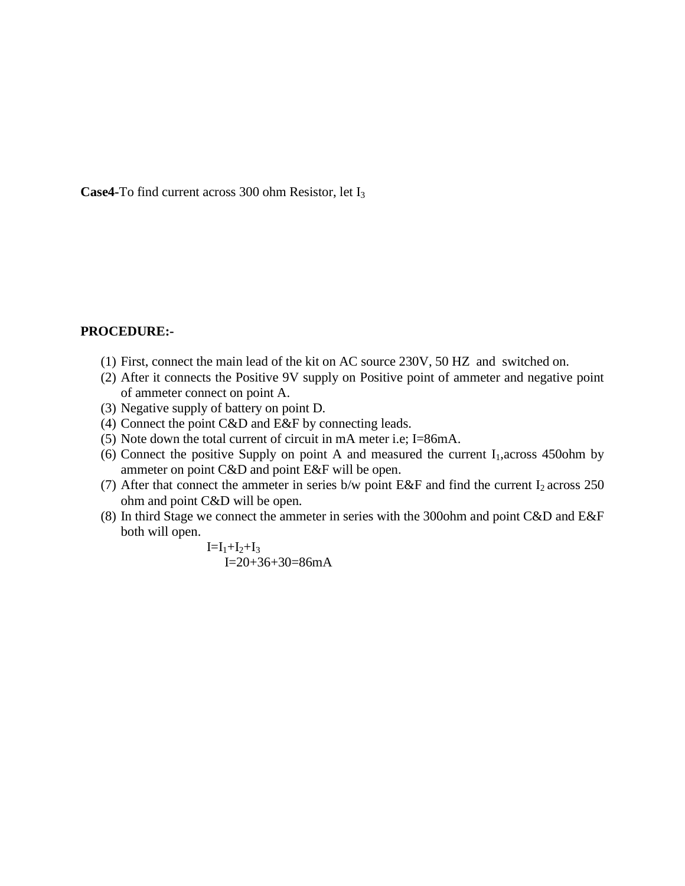**Case4-**To find current across 300 ohm Resistor, let I<sup>3</sup>

#### **PROCEDURE:-**

- (1) First, connect the main lead of the kit on AC source 230V, 50 HZ and switched on.
- (2) After it connects the Positive 9V supply on Positive point of ammeter and negative point of ammeter connect on point A.
- (3) Negative supply of battery on point D.
- (4) Connect the point C&D and E&F by connecting leads.
- (5) Note down the total current of circuit in mA meter i.e; I=86mA.
- (6) Connect the positive Supply on point A and measured the current  $I_1$ , across 450ohm by ammeter on point C&D and point E&F will be open.
- (7) After that connect the ammeter in series  $b/w$  point E&F and find the current  $I_2$  across 250 ohm and point C&D will be open.
- (8) In third Stage we connect the ammeter in series with the 300ohm and point C&D and E&F both will open.

 $I=I_1+I_2+I_3$ I=20+36+30=86mA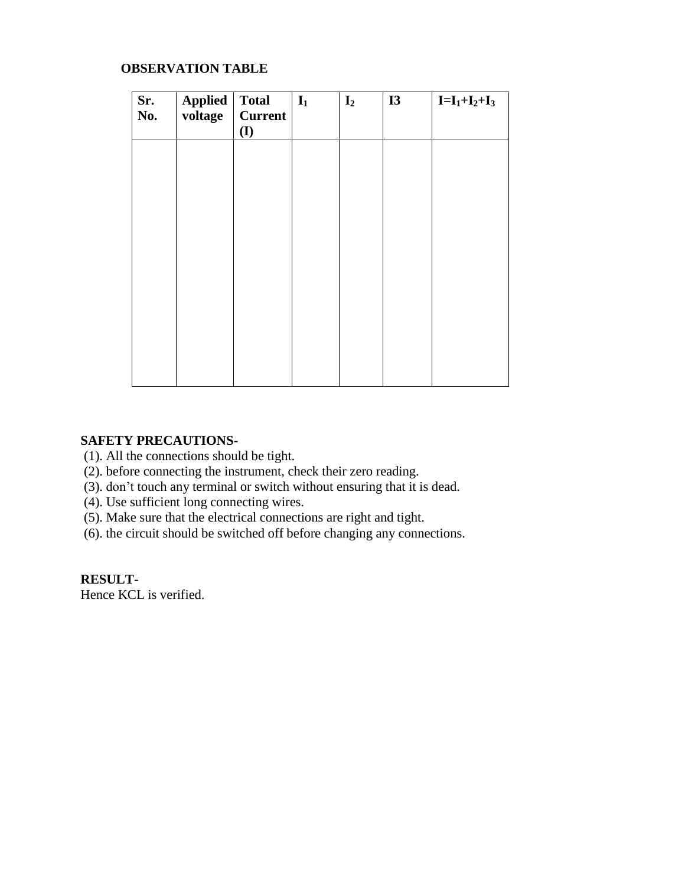## **OBSERVATION TABLE**

| Sr.<br>No. | <b>Applied</b><br>voltage | <b>Total</b><br><b>Current</b><br>(I) | $I_1$ | $\mathbf{I}_2$ | I3 | $I = I_1 + I_2 + I_3$ |
|------------|---------------------------|---------------------------------------|-------|----------------|----|-----------------------|
|            |                           |                                       |       |                |    |                       |
|            |                           |                                       |       |                |    |                       |
|            |                           |                                       |       |                |    |                       |
|            |                           |                                       |       |                |    |                       |
|            |                           |                                       |       |                |    |                       |

#### **SAFETY PRECAUTIONS-**

- (1). All the connections should be tight.
- (2). before connecting the instrument, check their zero reading.
- (3). don't touch any terminal or switch without ensuring that it is dead.
- (4). Use sufficient long connecting wires.
- (5). Make sure that the electrical connections are right and tight.
- (6). the circuit should be switched off before changing any connections.

## **RESULT-**

Hence KCL is verified.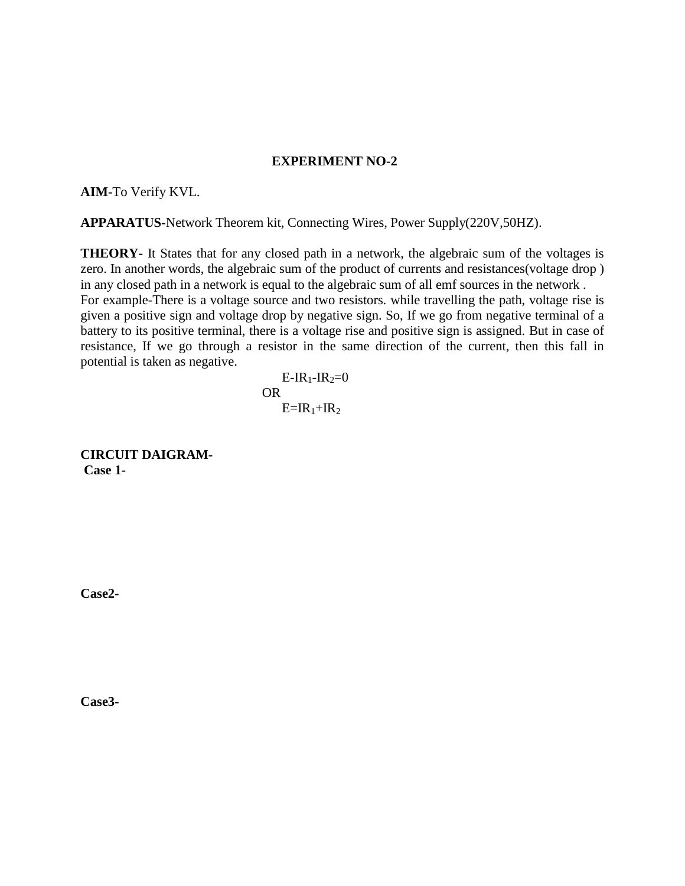#### **EXPERIMENT NO-2**

**AIM-**To Verify KVL.

**APPARATUS-**Network Theorem kit, Connecting Wires, Power Supply(220V,50HZ).

**THEORY-** It States that for any closed path in a network, the algebraic sum of the voltages is zero. In another words, the algebraic sum of the product of currents and resistances(voltage drop ) in any closed path in a network is equal to the algebraic sum of all emf sources in the network . For example-There is a voltage source and two resistors. while travelling the path, voltage rise is given a positive sign and voltage drop by negative sign. So, If we go from negative terminal of a battery to its positive terminal, there is a voltage rise and positive sign is assigned. But in case of resistance, If we go through a resistor in the same direction of the current, then this fall in potential is taken as negative.

 $E-IR_1-IR_2=0$ **OR** OF THE STATE OF THE STATE OF THE STATE OF THE STATE OF THE STATE OF THE STATE OF THE STATE OF THE STATE OF THE STATE OF THE STATE OF THE STATE OF THE STATE OF THE STATE OF THE STATE OF THE STATE OF THE STATE OF THE ST  $E=IR_1+IR_2$ 

**CIRCUIT DAIGRAM-Case 1-**

**Case2-**

**Case3-**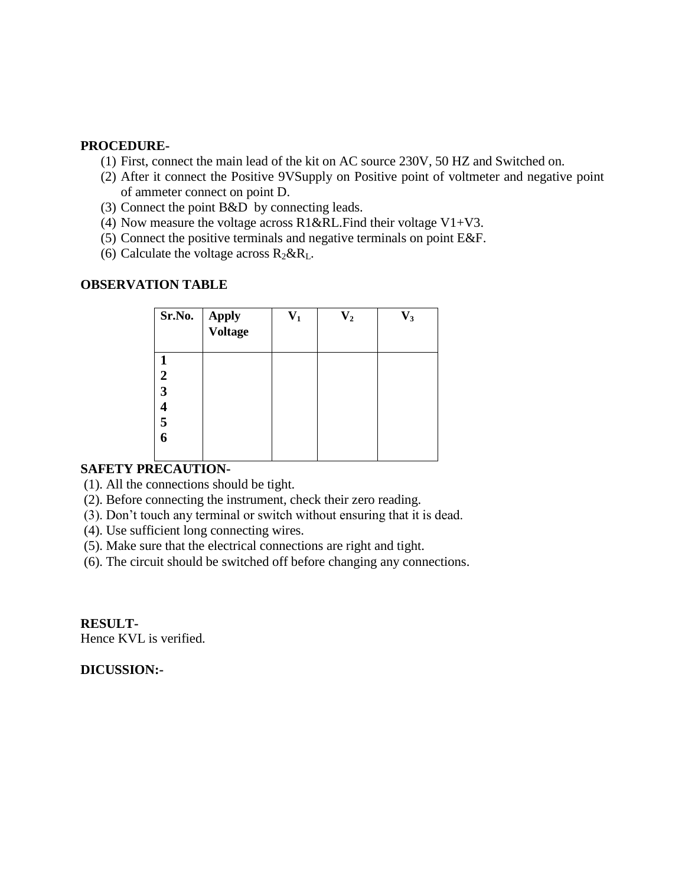#### **PROCEDURE-**

- (1) First, connect the main lead of the kit on AC source 230V, 50 HZ and Switched on.
- (2) After it connect the Positive 9VSupply on Positive point of voltmeter and negative point of ammeter connect on point D.
- (3) Connect the point B&D by connecting leads.
- (4) Now measure the voltage across  $R1&RLL$ . Find their voltage V1+V3.
- (5) Connect the positive terminals and negative terminals on point E&F.
- (6) Calculate the voltage across  $R_2 \& R_L$ .

#### **OBSERVATION TABLE**

| Sr.No.                     | Apply<br><b>Voltage</b> | $\mathbf{V}_1$ | $\mathbf{V}_{\mathbf{2}}$ | $\mathbf{V_{3}}$ |
|----------------------------|-------------------------|----------------|---------------------------|------------------|
| $\boldsymbol{2}$<br>3<br>5 |                         |                |                           |                  |

## **SAFETY PRECAUTION-**

- (1). All the connections should be tight.
- (2). Before connecting the instrument, check their zero reading.
- (3). Don't touch any terminal or switch without ensuring that it is dead.
- (4). Use sufficient long connecting wires.
- (5). Make sure that the electrical connections are right and tight.
- (6). The circuit should be switched off before changing any connections.

**RESULT-**Hence KVL is verified.

#### **DICUSSION:-**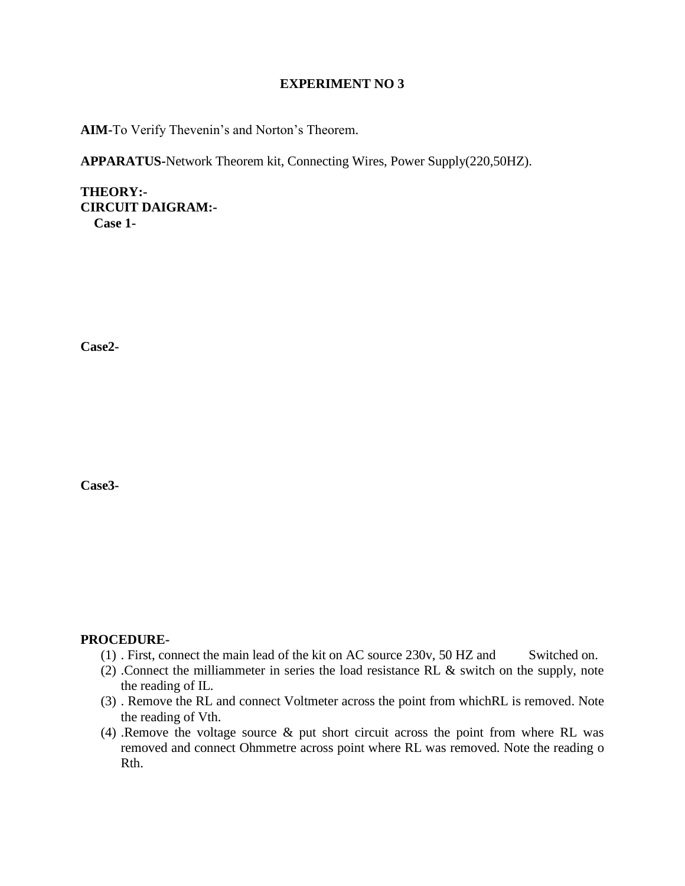#### **EXPERIMENT NO 3**

**AIM-**To Verify Thevenin's and Norton's Theorem.

**APPARATUS-**Network Theorem kit, Connecting Wires, Power Supply(220,50HZ).

**THEORY:- CIRCUIT DAIGRAM:- Case 1-**

**Case2-**

**Case3-**

#### **PROCEDURE-**

- $(1)$ . First, connect the main lead of the kit on AC source 230v, 50 HZ and Switched on.
- (2) .Connect the milliammeter in series the load resistance RL & switch on the supply, note the reading of IL.
- (3) . Remove the RL and connect Voltmeter across the point from whichRL is removed. Note the reading of Vth.
- (4) .Remove the voltage source & put short circuit across the point from where RL was removed and connect Ohmmetre across point where RL was removed. Note the reading o Rth.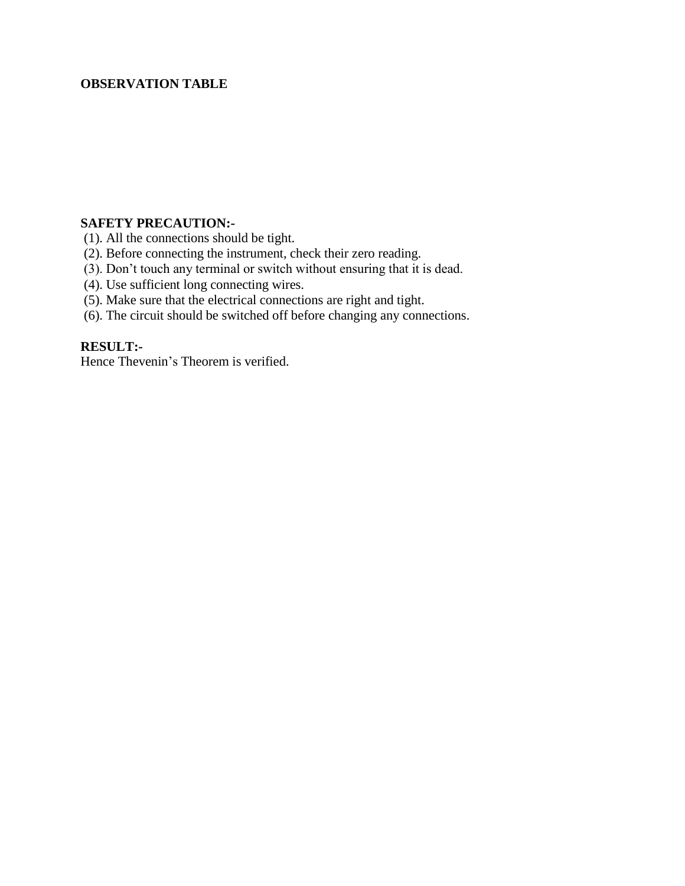#### **OBSERVATION TABLE**

#### **SAFETY PRECAUTION:-**

- (1). All the connections should be tight.
- (2). Before connecting the instrument, check their zero reading.
- (3). Don't touch any terminal or switch without ensuring that it is dead.
- (4). Use sufficient long connecting wires.
- (5). See successive surface of the electrical connections are right and tight.
- (6). The circuit should be switched off before changing any connections.

## **RESULT:-**

Hence Thevenin's Theorem is verified.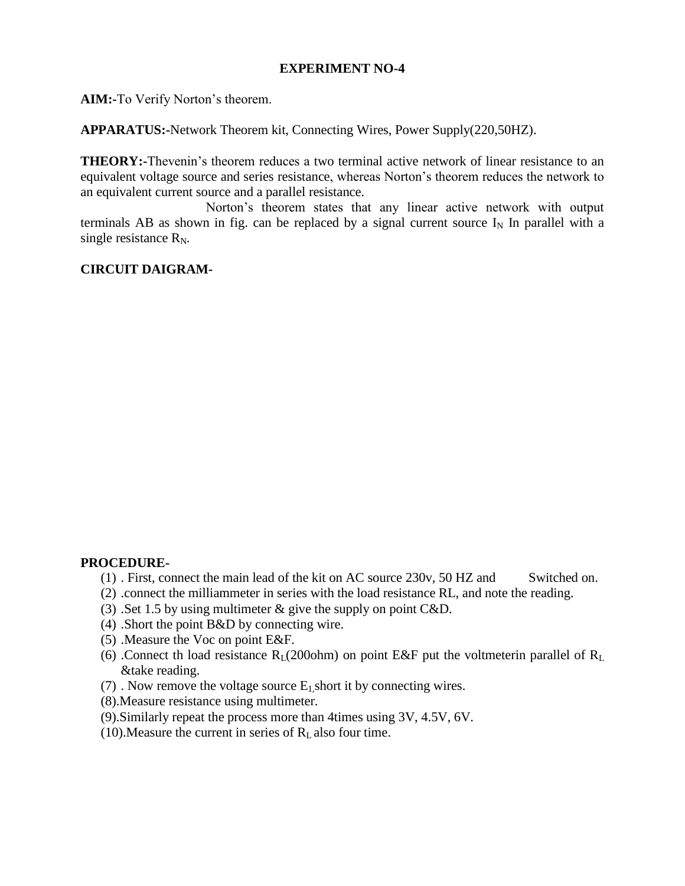## **EXPERIMENT NO-4**

**AIM:-**To Verify Norton's theorem.

**APPARATUS:-**Network Theorem kit, Connecting Wires, Power Supply(220,50HZ).

**THEORY:-**Thevenin's theorem reduces a two terminal active network of linear resistance to an equivalent voltage source and series resistance, whereas Norton's theorem reduces the network to an equivalent current source and a parallel resistance.

 Norton's theorem states that any linear active network with output terminals AB as shown in fig. can be replaced by a signal current source  $I_N$  In parallel with a single resistance  $R_N$ .

## **CIRCUIT DAIGRAM-**

#### **PROCEDURE-**

- (1) . First, connect the main lead of the kit on AC source 230v, 50 HZ and Switched on.
- (2) .connect the milliammeter in series with the load resistance RL, and note the reading.
- (3) .Set 1.5 by using multimeter & give the supply on point C&D.
- (4) .Short the point B&D by connecting wire.
- (5) .Measure the Voc on point E&F.
- (6) .Connect th load resistance  $R_L(200)$  on point E&F put the voltmeterin parallel of  $R_L$ &take reading.
- (7) . Now remove the voltage source  $E_1$  short it by connecting wires.
- (8).Measure resistance using multimeter.
- (9).Similarly repeat the process more than 4times using 3V, 4.5V, 6V.
- (10). Measure the current in series of  $R<sub>L</sub>$  also four time.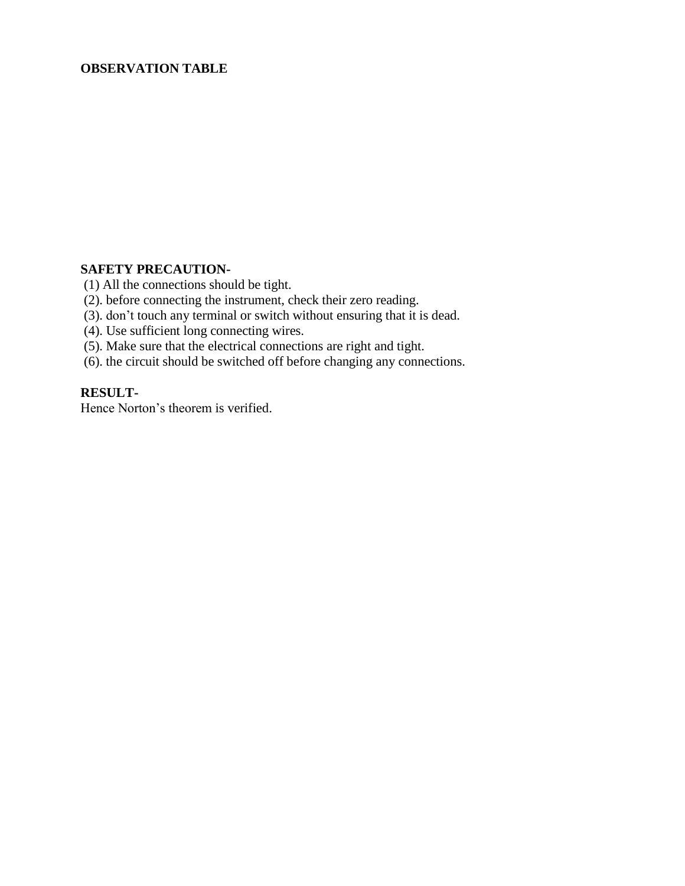### **OBSERVATION TABLE**

## **SAFETY PRECAUTION-**

(1) All the connections should be tight.

- (2). before connecting the instrument, check their zero reading.
- (3). don't touch any terminal or switch without ensuring that it is dead.
- (4). Use sufficient long connecting wires.
- (5). Make sure that the electrical connections are right and tight.
- (6). the circuit should be switched off before changing any connections.

#### **RESULT-**

Hence Norton's theorem is verified.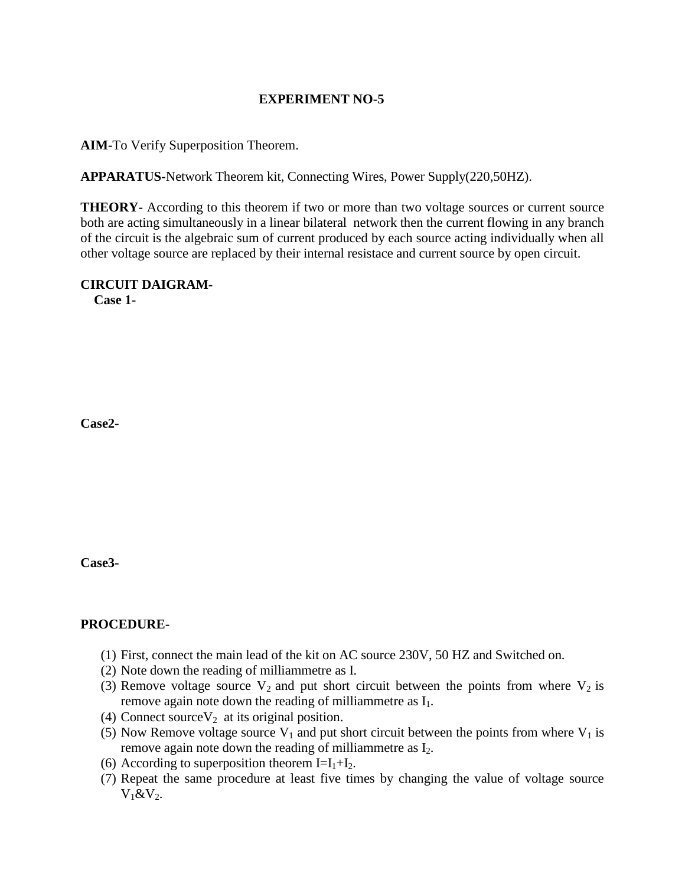## **EXPERIMENT NO-5**

**AIM-**To Verify Superposition Theorem.

**APPARATUS-**Network Theorem kit, Connecting Wires, Power Supply(220,50HZ).

**THEORY-** According to this theorem if two or more than two voltage sources or current source both are acting simultaneously in a linear bilateral network then the current flowing in any branch of the circuit is the algebraic sum of current produced by each source acting individually when all other voltage source are replaced by their internal resistace and current source by open circuit.

## **CIRCUIT DAIGRAM-**

 **Case 1-**

**Case2-**

**Case3-**

## **PROCEDURE-**

- (1) First, connect the main lead of the kit on AC source 230V, 50 HZ and Switched on.
- (2) Note down the reading of milliammetre as I.
- (3) Remove voltage source  $V_2$  and put short circuit between the points from where  $V_2$  is remove again note down the reading of milliammetre as  $I_1$ .
- (4) Connect source  $V_2$  at its original position.
- (5) Now Remove voltage source  $V_1$  and put short circuit between the points from where  $V_1$  is remove again note down the reading of milliammetre as  $I_2$ .
- (6) According to superposition theorem  $I=I_1+I_2$ .
- (7) Repeat the same procedure at least five times by changing the value of voltage source  $V_1 \& V_2$ .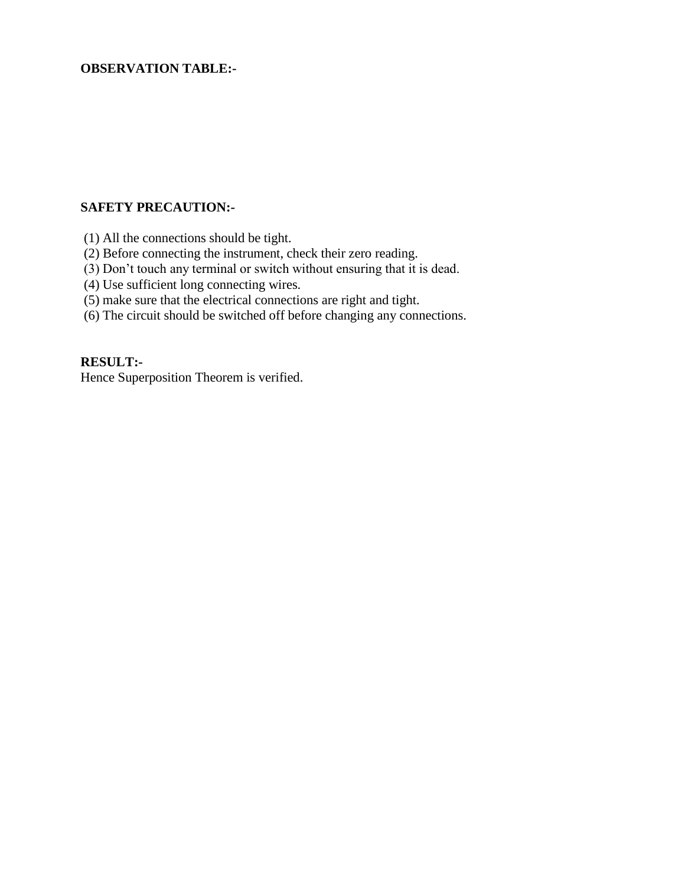#### **OBSERVATION TABLE:-**

#### **SAFETY PRECAUTION:-**

- (1) All the connections should be tight.
- (2) Before connecting the instrument, check their zero reading.
- (3) Don't touch any terminal or switch without ensuring that it is dead.
- (4) Use sufficient long connecting wires.
- (5) make sure that the electrical connections are right and tight.
- (6) The circuit should be switched off before changing any connections.

#### **RESULT:-**

Hence Superposition Theorem is verified.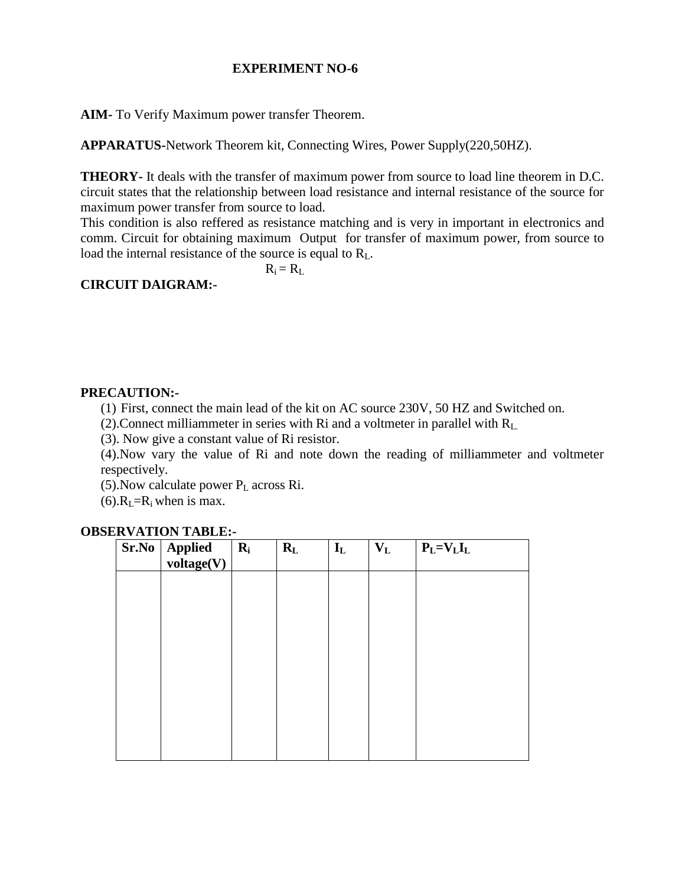## **EXPERIMENT NO-6**

**AIM-** To Verify Maximum power transfer Theorem.

**APPARATUS-**Network Theorem kit, Connecting Wires, Power Supply(220,50HZ).

**THEORY-** It deals with the transfer of maximum power from source to load line theorem in D.C. circuit states that the relationship between load resistance and internal resistance of the source for maximum power transfer from source to load.

This condition is also reffered as resistance matching and is very in important in electronics and comm. Circuit for obtaining maximum Output for transfer of maximum power, from source to load the internal resistance of the source is equal to  $R<sub>L</sub>$ .

 $R_i = R_L$ 

## **CIRCUIT DAIGRAM:-**

## **PRECAUTION:-**

(1) First, connect the main lead of the kit on AC source 230V, 50 HZ and Switched on.

(2).Connect milliammeter in series with Ri and a voltmeter in parallel with RL.

(3). Now give a constant value of Ri resistor.

(4).Now vary the value of Ri and note down the reading of milliammeter and voltmeter respectively.

 $(5)$ . Now calculate power  $P_L$  across Ri.

 $(6)$ . $R<sub>I</sub> = R<sub>i</sub>$  when is max.

| $Sr.No  $ Applied<br>voltage(V) | $R_i$ | $R_{L}$ | $\mathbf{I}_{\mathbf{L}}$ | $\mathbf{V}_\mathbf{L}$ | $P_L = V_L I_L$ |
|---------------------------------|-------|---------|---------------------------|-------------------------|-----------------|
|                                 |       |         |                           |                         |                 |
|                                 |       |         |                           |                         |                 |
|                                 |       |         |                           |                         |                 |
|                                 |       |         |                           |                         |                 |
|                                 |       |         |                           |                         |                 |
|                                 |       |         |                           |                         |                 |

## **OBSERVATION TABLE:-**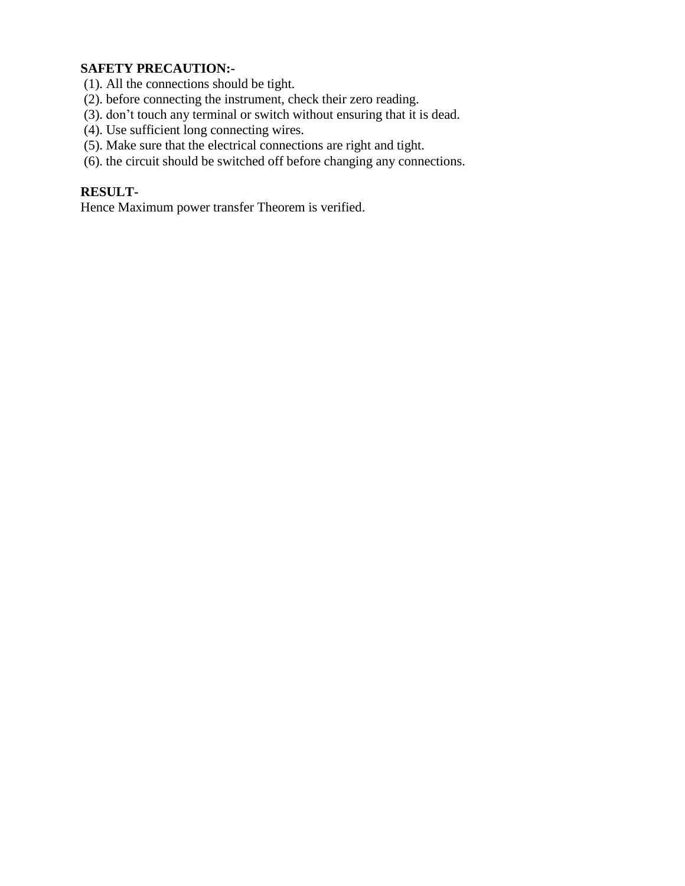## **SAFETY PRECAUTION:-**

- (1). All the connections should be tight.
- (2). before connecting the instrument, check their zero reading.
- (3). don't touch any terminal or switch without ensuring that it is dead.
- (4). Use sufficient long connecting wires.
- (5). Make sure that the electrical connections are right and tight.
- (6). the circuit should be switched off before changing any connections.

## **RESULT-**

Hence Maximum power transfer Theorem is verified.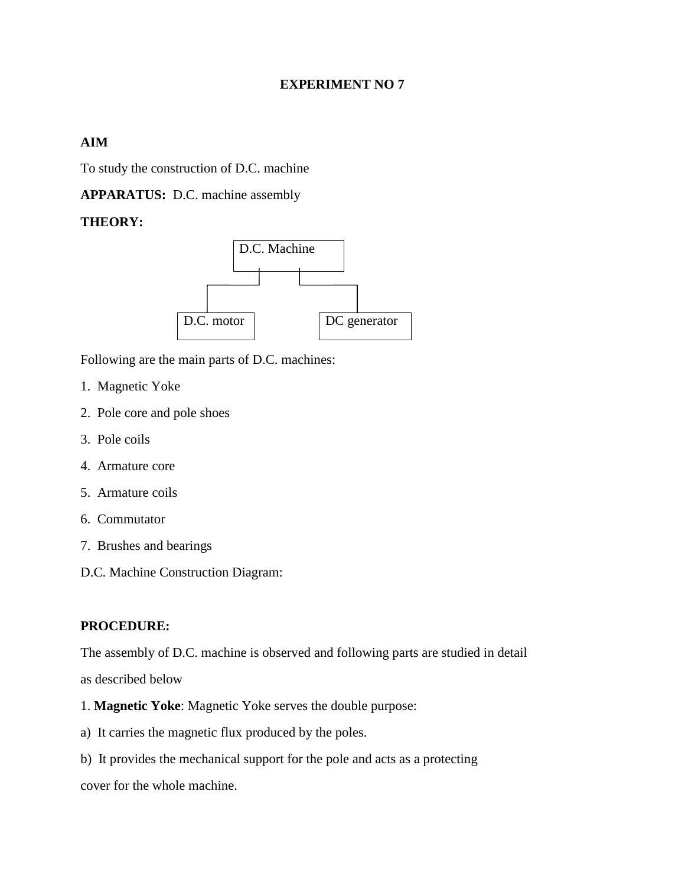## **EXPERIMENT NO 7**

## **AIM**

To study the construction of D.C. machine

**APPARATUS:** D.C. machine assembly

## **THEORY:**



Following are the main parts of D.C. machines:

- 1. Magnetic Yoke
- 2. Pole core and pole shoes
- 3. Pole coils
- 4. Armature core
- 5. Armature coils
- 6. Commutator
- 7. Brushes and bearings
- D.C. Machine Construction Diagram:

#### **PROCEDURE:**

The assembly of D.C. machine is observed and following parts are studied in detail as described below

- 1. **Magnetic Yoke**: Magnetic Yoke serves the double purpose:
- a) It carries the magnetic flux produced by the poles.
- b) It provides the mechanical support for the pole and acts as a protecting

cover for the whole machine.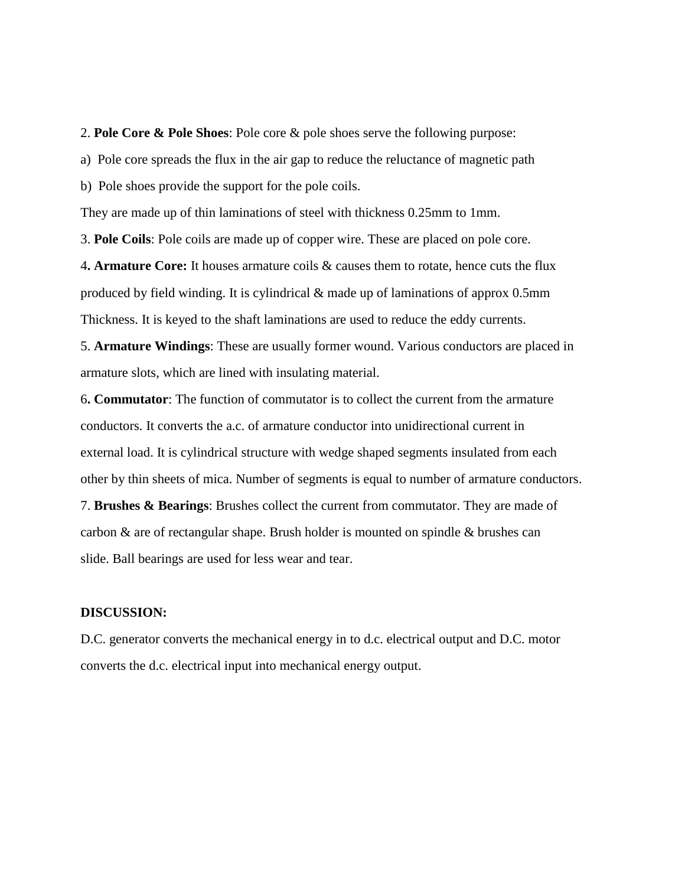2. **Pole Core & Pole Shoes**: Pole core & pole shoes serve the following purpose:

a) Pole core spreads the flux in the air gap to reduce the reluctance of magnetic path

b) Pole shoes provide the support for the pole coils.

They are made up of thin laminations of steel with thickness 0.25mm to 1mm.

3. **Pole Coils**: Pole coils are made up of copper wire. These are placed on pole core.

4**. Armature Core:** It houses armature coils & causes them to rotate, hence cuts the flux produced by field winding. It is cylindrical & made up of laminations of approx 0.5mm Thickness. It is keyed to the shaft laminations are used to reduce the eddy currents.

5. **Armature Windings**: These are usually former wound. Various conductors are placed in armature slots, which are lined with insulating material.

6**. Commutator**: The function of commutator is to collect the current from the armature conductors. It converts the a.c. of armature conductor into unidirectional current in external load. It is cylindrical structure with wedge shaped segments insulated from each other by thin sheets of mica. Number of segments is equal to number of armature conductors.

7. **Brushes & Bearings**: Brushes collect the current from commutator. They are made of carbon & are of rectangular shape. Brush holder is mounted on spindle & brushes can slide. Ball bearings are used for less wear and tear.

#### **DISCUSSION:**

D.C. generator converts the mechanical energy in to d.c. electrical output and D.C. motor converts the d.c. electrical input into mechanical energy output.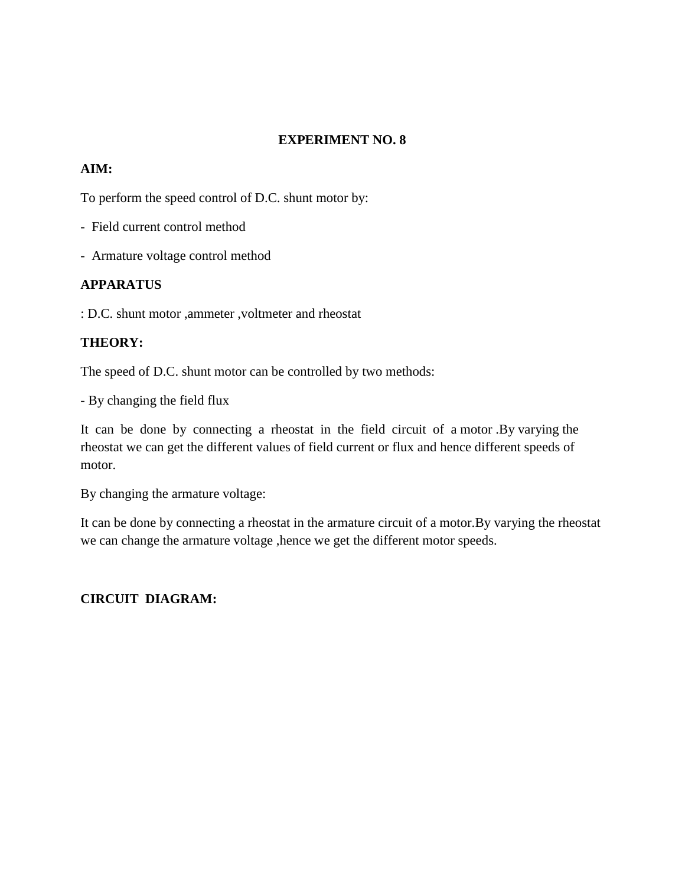## **EXPERIMENT NO. 8**

## **AIM:**

To perform the speed control of D.C. shunt motor by:

- Field current control method
- Armature voltage control method

## **APPARATUS**

: D.C. shunt motor ,ammeter ,voltmeter and rheostat

## **THEORY:**

The speed of D.C. shunt motor can be controlled by two methods:

- By changing the field flux

It can be done by connecting a rheostat in the field circuit of a motor .By varying the rheostat we can get the different values of field current or flux and hence different speeds of motor.

By changing the armature voltage:

It can be done by connecting a rheostat in the armature circuit of a motor.By varying the rheostat we can change the armature voltage ,hence we get the different motor speeds.

## **CIRCUIT DIAGRAM:**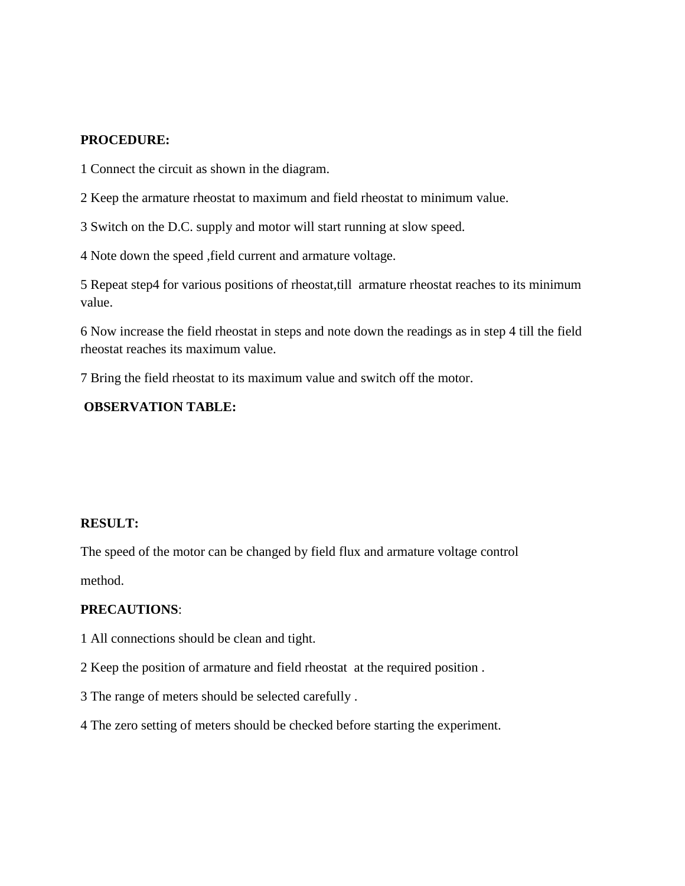#### **PROCEDURE:**

1 Connect the circuit as shown in the diagram.

2 Keep the armature rheostat to maximum and field rheostat to minimum value.

3 Switch on the D.C. supply and motor will start running at slow speed.

4 Note down the speed ,field current and armature voltage.

5 Repeat step4 for various positions of rheostat,till armature rheostat reaches to its minimum value.

6 Now increase the field rheostat in steps and note down the readings as in step 4 till the field rheostat reaches its maximum value.

7 Bring the field rheostat to its maximum value and switch off the motor.

## **OBSERVATION TABLE:**

#### **RESULT:**

The speed of the motor can be changed by field flux and armature voltage control method.

#### **PRECAUTIONS**:

- 1 All connections should be clean and tight.
- 2 Keep the position of armature and field rheostat at the required position .
- 3 The range of meters should be selected carefully .
- 4 The zero setting of meters should be checked before starting the experiment.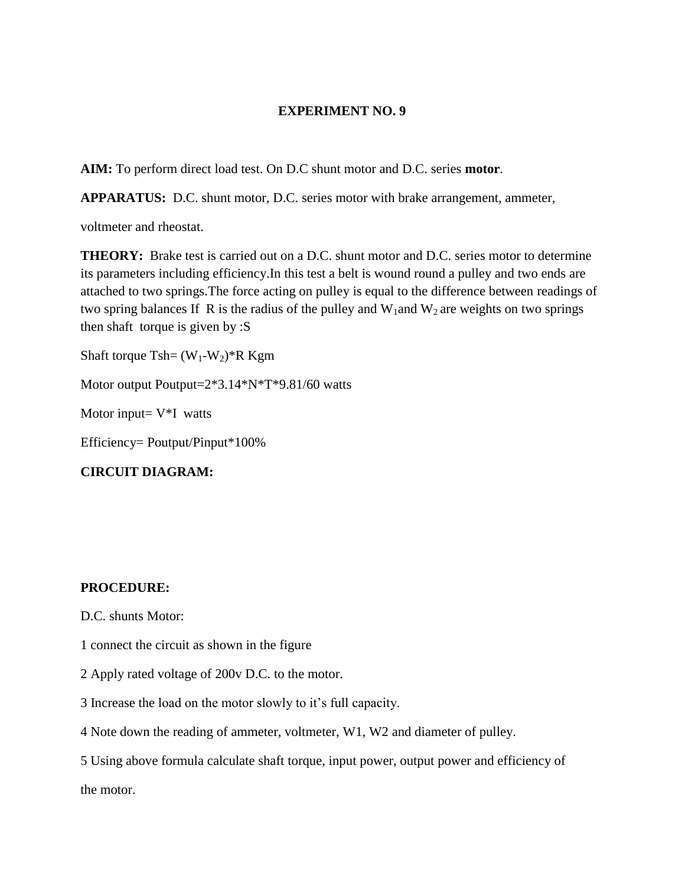#### **EXPERIMENT NO. 9**

**AIM:** To perform direct load test. On D.C shunt motor and D.C. series **motor**.

**APPARATUS:** D.C. shunt motor, D.C. series motor with brake arrangement, ammeter,

voltmeter and rheostat.

**THEORY:** Brake test is carried out on a D.C. shunt motor and D.C. series motor to determine its parameters including efficiency.In this test a belt is wound round a pulley and two ends are attached to two springs.The force acting on pulley is equal to the difference between readings of two spring balances If R is the radius of the pulley and  $W_1$  and  $W_2$  are weights on two springs then shaft torque is given by :S

Shaft torque Tsh=  $(W_1-W_2)$ <sup>\*</sup>R Kgm

Motor output Poutput=2\*3.14\*N\*T\*9.81/60 watts

Motor input=  $V^*I$  watts

Efficiency= Poutput/Pinput\*100%

**CIRCUIT DIAGRAM:**

#### **PROCEDURE:**

- D.C. shunts Motor:
- 1 connect the circuit as shown in the figure
- 2 Apply rated voltage of 200v D.C. to the motor.
- 3 Increase the load on the motor slowly to it's full capacity.
- 4 Note down the reading of ammeter, voltmeter, W1, W2 and diameter of pulley.
- 5 Using above formula calculate shaft torque, input power, output power and efficiency of

the motor.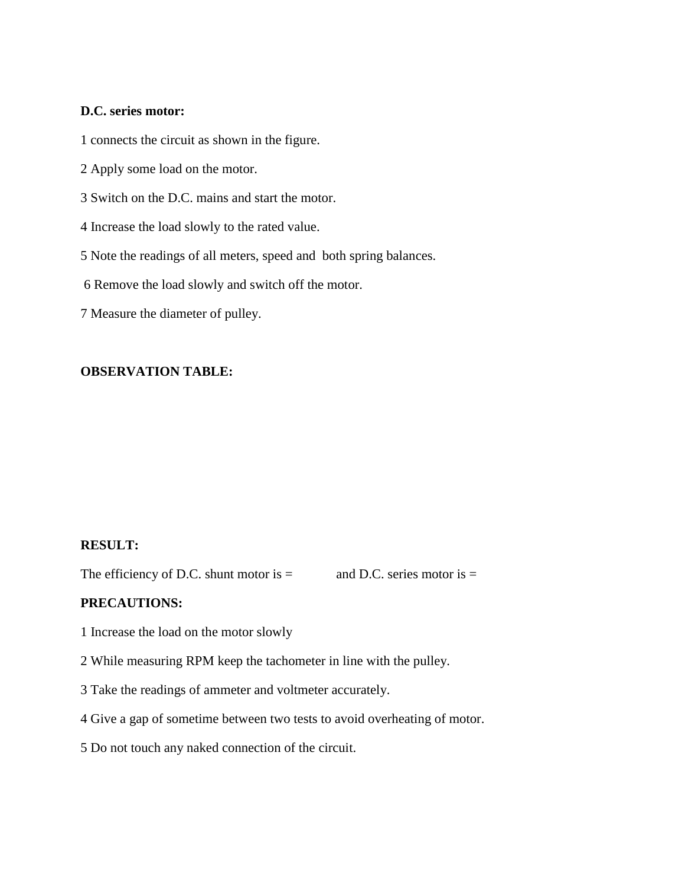## **D.C. series motor:**

1 connects the circuit as shown in the figure.

- 2 Apply some load on the motor.
- 3 Switch on the D.C. mains and start the motor.
- 4 Increase the load slowly to the rated value.
- 5 Note the readings of all meters, speed and both spring balances.
- 6 Remove the load slowly and switch off the motor.
- 7 Measure the diameter of pulley.

## **OBSERVATION TABLE:**

### **RESULT:**

The efficiency of D.C. shunt motor is  $=$  and D.C. series motor is  $=$ 

#### **PRECAUTIONS:**

- 1 Increase the load on the motor slowly
- 2 While measuring RPM keep the tachometer in line with the pulley.
- 3 Take the readings of ammeter and voltmeter accurately.
- 4 Give a gap of sometime between two tests to avoid overheating of motor.
- 5 Do not touch any naked connection of the circuit.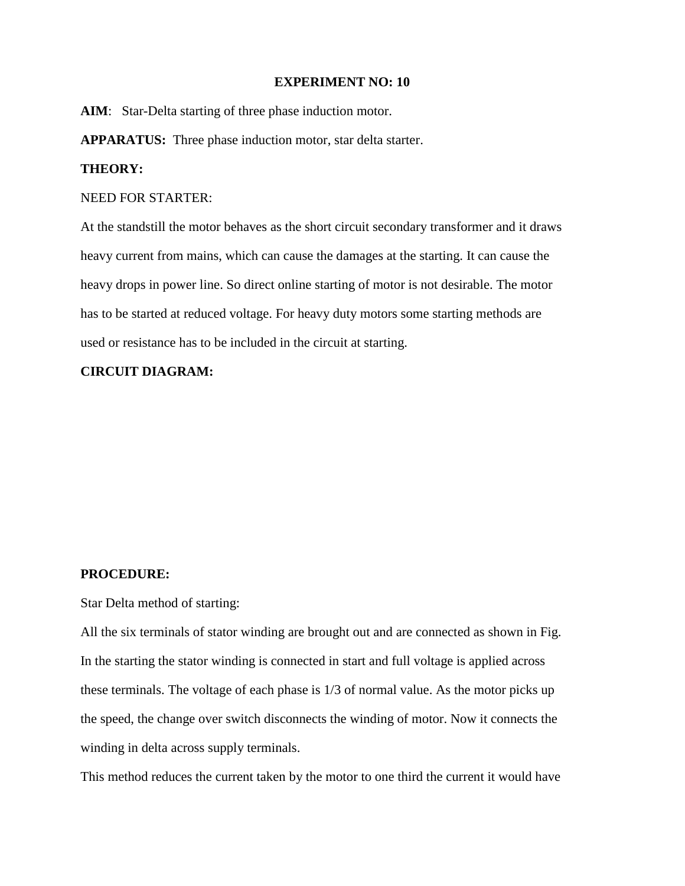#### **EXPERIMENT NO: 10**

**AIM**: Star-Delta starting of three phase induction motor.

**APPARATUS:** Three phase induction motor, star delta starter.

#### **THEORY:**

#### NEED FOR STARTER:

At the standstill the motor behaves as the short circuit secondary transformer and it draws heavy current from mains, which can cause the damages at the starting. It can cause the heavy drops in power line. So direct online starting of motor is not desirable. The motor has to be started at reduced voltage. For heavy duty motors some starting methods are used or resistance has to be included in the circuit at starting.

### **CIRCUIT DIAGRAM:**

#### **PROCEDURE:**

Star Delta method of starting:

All the six terminals of stator winding are brought out and are connected as shown in Fig. In the starting the stator winding is connected in start and full voltage is applied across these terminals. The voltage of each phase is 1/3 of normal value. As the motor picks up the speed, the change over switch disconnects the winding of motor. Now it connects the winding in delta across supply terminals.

This method reduces the current taken by the motor to one third the current it would have